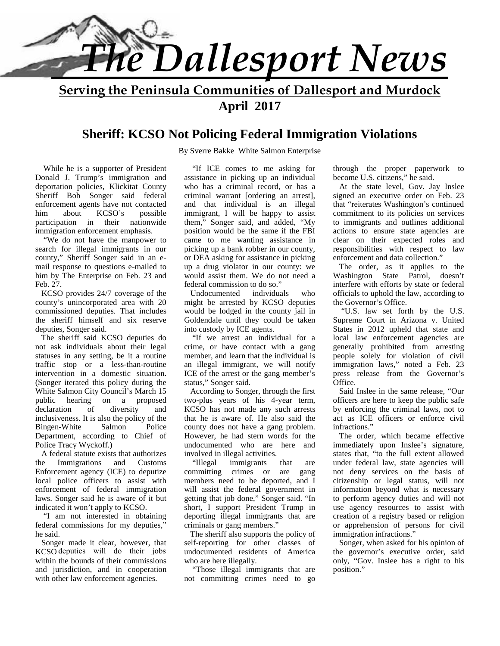

**Serving the Peninsula Communities of Dallesport and Murdock April 2017**

### **Sheriff: KCSO Not Policing Federal Immigration Violations**

By Sverre Bakke White Salmon Enterprise

While he is a supporter of President Donald J. Trump's immigration and deportation policies, Klickitat County Sheriff Bob Songer said federal enforcement agents have not contacted him about KCSO's possible participation in their nationwide immigration enforcement emphasis.

 "We do not have the manpower to search for illegal immigrants in our county," Sheriff Songer said in an e mail response to questions e-mailed to him by The Enterprise on Feb. 23 and Feb. 27.

 KCSO provides 24/7 coverage of the county's unincorporated area with 20 commissioned deputies. That includes the sheriff himself and six reserve deputies, Songer said.

 The sheriff said KCSO deputies do not ask individuals about their legal statuses in any setting, be it a routine traffic stop or a less-than-routine intervention in a domestic situation. (Songer iterated this policy during the White Salmon City Council's March 15 public hearing on a proposed declaration of diversity and inclusiveness. It is also the policy of the Bingen-White Salmon Police Department, according to Chief of Police Tracy Wyckoff.)

 A federal statute exists that authorizes the Immigrations and Customs Enforcement agency (ICE) to deputize local police officers to assist with enforcement of federal immigration laws. Songer said he is aware of it but indicated it won't apply to KCSO.

 "I am not interested in obtaining federal commissions for my deputies, he said.

 Songer made it clear, however, that KCSO deputies will do their jobs within the bounds of their commissions and jurisdiction, and in cooperation with other law enforcement agencies.

 "If ICE comes to me asking for assistance in picking up an individual who has a criminal record, or has a criminal warrant [ordering an arrest], and that individual is an illegal immigrant, I will be happy to assist them," Songer said, and added, "My position would be the same if the FBI came to me wanting assistance in picking up a bank robber in our county, or DEA asking for assistance in picking up a drug violator in our county: we would assist them. We do not need a federal commission to do so."

 Undocumented individuals who might be arrested by KCSO deputies would be lodged in the county jail in Goldendale until they could be taken into custody by ICE agents.

 "If we arrest an individual for a crime, or have contact with a gang member, and learn that the individual is an illegal immigrant, we will notify ICE of the arrest or the gang member's status," Songer said.

 According to Songer, through the first two-plus years of his 4-year term, KCSO has not made any such arrests that he is aware of. He also said the county does not have a gang problem. However, he had stern words for the undocumented who are here and involved in illegal activities.

 "Illegal immigrants that are committing crimes or are gang members need to be deported, and I will assist the federal government in getting that job done," Songer said. "In short, I support President Trump in deporting illegal immigrants that are criminals or gang members."

 The sheriff also supports the policy of self-reporting for other classes of undocumented residents of America who are here illegally.

 "Those illegal immigrants that are not committing crimes need to go

through the proper paperwork to become U.S. citizens," he said.

 At the state level, Gov. Jay Inslee signed an executive order on Feb. 23 that "reiterates Washington's continued commitment to its policies on services to immigrants and outlines additional actions to ensure state agencies are clear on their expected roles and responsibilities with respect to law enforcement and data collection."

 The order, as it applies to the Washington State Patrol, doesn't interfere with efforts by state or federal officials to uphold the law, according to the Governor's Office.

 "U.S. law set forth by the U.S. Supreme Court in Arizona v. United States in 2012 upheld that state and local law enforcement agencies are generally prohibited from arresting people solely for violation of civil immigration laws," noted a Feb. 23 press release from the Governor's Office.

 Said Inslee in the same release, "Our officers are here to keep the public safe by enforcing the criminal laws, not to act as ICE officers or enforce civil infractions."

 The order, which became effective immediately upon Inslee's signature, states that, "to the full extent allowed under federal law, state agencies will not deny services on the basis of citizenship or legal status, will not information beyond what is necessary to perform agency duties and will not use agency resources to assist with creation of a registry based or religion or apprehension of persons for civil immigration infractions."

 Songer, when asked for his opinion of the governor's executive order, said only, "Gov. Inslee has a right to his position."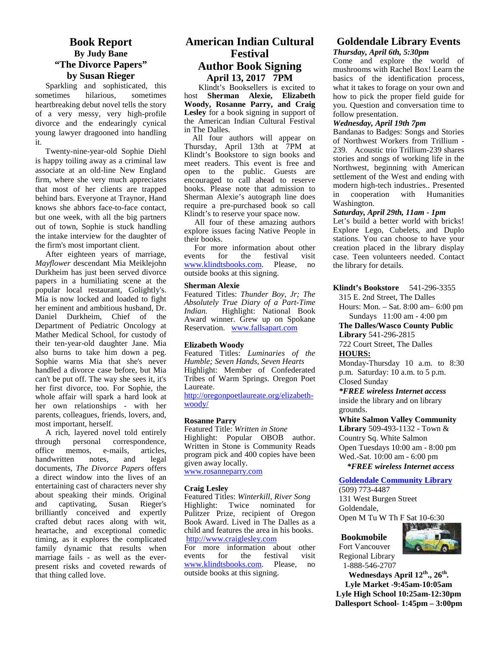### **Book Report By Judy Bane "The Divorce Papers" by Susan Rieger**

Sparkling and sophisticated, this sometimes hilarious, sometimes host heartbreaking debut novel tells the story of a very messy, very high-profile divorce and the endearingly cynical young lawyer dragooned into handling it.

Twenty-nine-year-old Sophie Diehl is happy toiling away as a criminal law associate at an old-line New England firm, where she very much appreciates that most of her clients are trapped behind bars. Everyone at Traynor, Hand knows she abhors face-to-face contact, but one week, with all the big partners out of town, Sophie is stuck handling the intake interview for the daughter of the firm's most important client.

After eighteen years of marriage, *Mayflower* descendant Mia Meiklejohn Durkheim has just been served divorce papers in a humiliating scene at the popular local restaurant, Golightly's. Mia is now locked and loaded to fight her eminent and ambitious husband, Dr. net emment and ambitious husband, Dr. Indian.<br>Daniel Durkheim, Chief of the Award Department of Pediatric Oncology at Mather Medical School, for custody of their ten-year-old daughter Jane. Mia also burns to take him down a peg. Sophie warns Mia that she's never handled a divorce case before, but Mia can't be put off. The way she sees it, it's her first divorce, too. For Sophie, the whole affair will spark a hard look at her own relationships - with her parents, colleagues, friends, lovers, and, most important, herself.

A rich, layered novel told entirely<br>ough personal correspondence. through personal correspondence, office memos, e-mails, articles, handwritten notes, and legal documents, *The Divorce Papers* offers a direct window into the lives of an entertaining cast of characters never shy about speaking their minds. Original<br>and captivating, Susan Rieger's captivating, Susan Rieger's brilliantly conceived and expertly crafted debut races along with wit, heartache, and exceptional comedic timing, as it explores the complicated http:<br>
family dynamic that results when For family dynamic that results when For m<br>marriage fails a swell as the ever-<br>events marriage fails - as well as the ever present risks and coveted rewards of that thing called love.

### **American Indian Cultural Festival Author Book Signing April 13, 2017 7PM**

Klindt's Booksellers is excited to Sherman Alexie, Elizabeth **Woody, Rosanne Parry, and Craig Lesley** for a book signing in support of the American Indian Cultural Festival in The Dalles.

All four authors will appear on Thursday, April 13th at 7PM at Klindt's Bookstore to sign books and meet readers. This event is free and open to the public. Guests are encouraged to call ahead to reserve books. Please note that admission to  $\frac{m}{s}$ Sherman Alexie's autograph line does require a pre-purchased book so call Klindt's to reserve your space now.

All four of these amazing authors explore issues facing Native People in their books.

For more information about other<br>ents for the festival visit events for the festival www.klindtsbooks.com. Please, no outside books at this signing.

#### **Sherman Alexie**

Featured Titles: *Thunder Boy, Jr; The Absolutely True Diary of a Part-Time Indian.* Highlight: National Book Award winner. Grew up on Spokane Reservation. www.fallsapart.com

#### **Elizabeth Woody**

Featured Titles: *Luminaries of the Humble; Seven Hands, Seven Hearts* Highlight: Member of Confederated Tribes of Warm Springs. Oregon Poet Laureate.

http://oregonpoetlaureate.org/elizabeth woody/

#### **Rosanne Parry**

Featured Title: *Written in Stone* Highlight: Popular OBOB author. Written in Stone is Community Reads program pick and 400 copies have been given away locally. www.rosanneparry.com

#### **Craig Lesley**

Featured Titles: *Winterkill*, *River Song* Highlight: Twice nominated for Pulitzer Prize, recipient of Oregon Book Award. Lived in The Dalles as a child and features the area in his books. http://www.craiglesley.com

more information about other<br>ts for the festival visit festival www.klindtsbooks.com. Please, no outside books at this signing.

### **Goldendale Library Events** *Thursday, April 6th, 5:30pm*

Come and explore the world of mushrooms with Rachel Box! Learn the basics of the identification process, what it takes to forage on your own and how to pick the proper field guide for you. Question and conversation time to follow presentation.

### *Wednesday, April 19th 7pm*

Bandanas to Badges: Songs and Stories of Northwest Workers from Trillium - 239. Acoustic trio Trillium-239 shares stories and songs of working life in the Northwest, beginning with American settlement of the West and ending with modern high-tech industries.. Presented cooperation with Humanities Washington.

#### *Saturday, April 29th, 11am - 1pm*

Let's build a better world with bricks! Explore Lego, Cubelets, and Duplo stations. You can choose to have your creation placed in the library display case. Teen volunteers needed. Contact the library for details.

#### **Klindt's Bookstore** 541-296-3355

315 E. 2nd Street, The Dalles

Hours: Mon. – Sat. 8:00 am– 6:00 pm Sundays 11:00 am - 4:00 pm

**The Dalles/Wasco County Public Library** 541-296-2815

722 Court Street, The Dalles

### **HOURS:**

Monday-Thursday 10 a.m. to 8:30 p.m. Saturday: 10 a.m. to 5 p.m. Closed Sunday

*\*FREE wireless Internet access* inside the library and on library grounds.

**White Salmon Valley Community Library** 509-493-1132 - Town & Country Sq. White Salmon Open Tuesdays 10:00 am - 8:00 pm Wed.-Sat. 10:00 am - 6:00 pm

### *\*FREE wireless Internet access*

### **Goldendale Community Library**

(509) 773-4487 131 West Burgen Street Goldendale,

Open M Tu W Th F Sat 10-6:30

### **Bookmobile**

Fort Vancouver Regional Library 1-888-546-2707



**Wednesdays April 12th., 26th . Lyle Market -9:45am-10:05am Lyle High School 10:25am-12:30pm Dallesport School- 1:45pm – 3:00pm**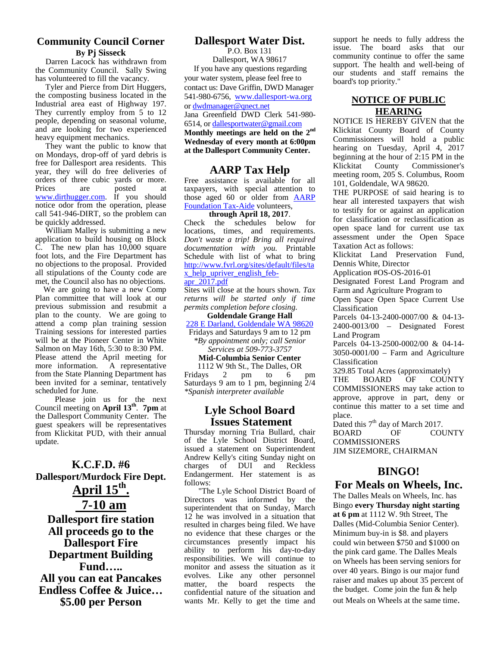### **Community Council Corner By Pj Sisseck**

Darren Lacock has withdrawn from the Community Council. Sally Swing has volunteered to fill the vacancy.

Tyler and Pierce from Dirt Huggers, the composting business located in the Industrial area east of Highway 197. They currently employ from 5 to 12 people, depending on seasonal volume, and are looking for two experienced heavy equipment mechanics.

They want the public to know that on Mondays, drop-off of yard debris is free for Dallesport area residents. This year, they will do free deliveries of orders of three cubic yards or more. Prices are posted at www.dirthugger.com. If you should notice odor from the operation, please call 541-946-DIRT, so the problem can be quickly addressed.

William Malley is submitting a new application to build housing on Block C. The new plan has 10,000 square foot lots, and the Fire Department has no objections to the proposal. Provided all stipulations of the County code are met, the Council also has no objections.

We are going to have a new Comp Plan committee that will look at our previous submission and resubmit a plan to the county. We are going to attend a comp plan training session Training sessions for interested parties will be at the Pioneer Center in White Salmon on May 16th, 5:30 to 8:30 PM. Please attend the April meeting for more information. A representative from the State Planning Department has been invited for a seminar, tentatively scheduled for June.

Please join us for the next Council meeting on **April 13th** . **7pm** at the Dallesport Community Center. The guest speakers will be representatives from Klickitat PUD, with their annual update.

**K.C.F.D. #6 Dallesport/Murdock Fire Dept. April 15 th . 7-10 am Dallesport fire station All proceeds go to the Dallesport Fire Department Building Fund….. All you can eat Pancakes Endless Coffee & Juice… \$5.00 per Person**

### **Dallesport Water Dist.**

P.O. Box 131 Dallesport, WA 98617 If you have any questions regarding your water system, please feel free to contact us: Dave Griffin, DWD Manager 541-980-6756, www.dallesport-wa.org or dwdmanager@qnect.net Jana Greenfield DWD Clerk 541-980- 6514, or dallesportwater@gmail.com **Monthly meetings are held on the 2nd Wednesday of every month at 6:00pm at the Dallesport Community Center.**

### **AARP Tax Help Klickitat**

Free assistance is available for all taxpayers, with special attention to those aged 60 or older from AARP Foundation Tax-Aide volunteers,

**through April 18, 2017**. Check the schedules below for locations, times, and requirements. *Don't waste a trip! Bring all required documentation with you.* Printable Schedule with list of what to bring http://www.fvrl.org/sites/default/files/ta x help upriver english feb-

#### apr\_2017.pdf

Sites will close at the hours shown. *Tax returns will be started only if time permits completion before closing.*

**Goldendale Grange Hall** 228 E Darland, Goldendale WA 98620

Fridays and Saturdays 9 am to 12 pm *\*By appointment only; call Senior Services at 509-773-3757*

#### **Mid-Columbia Senior Center**

1112 W 9th St., The Dalles, OR  $\frac{2}{3}$  pm to 6 pm  $\frac{325.83 \text{ Total ACE}}{2(4)}$ Saturdays 9 am to 1 pm, beginning 2/4 *\*Spanish interpreter available*

### **Lyle School Board Issues Statement**

Thursday morning Tria Bullard, chair of the Lyle School District Board, issued a statement on Superintendent Andrew Kelly's citing Sunday night on charges of DUI and Reckless Endangerment. Her statement is as follows:

"The Lyle School District Board of Directors was informed by the superintendent that on Sunday, March 12 he was involved in a situation that resulted in charges being filed. We have no evidence that these charges or the circumstances presently impact his ability to perform his day-to-day responsibilities. We will continue to monitor and assess the situation as it evolves. Like any other personnel matter, the board respects the confidential nature of the situation and wants Mr. Kelly to get the time and

support he needs to fully address the issue. The board asks that our community continue to offer the same support. The health and well-being of our students and staff remains the board's top priority."

### **NOTICE OF PUBLIC HEARING**

NOTICE IS HEREBY GIVEN that the Klickitat County Board of County Commissioners will hold a public hearing on Tuesday, April 4, 2017 beginning at the hour of 2:15 PM in the County Commissioner's meeting room, 205 S. Columbus, Room 101, Goldendale, WA 98620.

THE PURPOSE of said hearing is to hear all interested taxpayers that wish to testify for or against an application for classification or reclassification as open space land for current use tax assessment under the Open Space Taxation Act as follows:

Klickitat Land Preservation Fund, Dennis White, Director

Application #OS-OS-2016-01

Designated Forest Land Program and Farm and Agriculture Program to

Open Space Open Space Current Use Classification

Parcels 04-13-2400-0007/00 & 04-13- 2400-0013/00 – Designated Forest Land Program

Parcels 04-13-2500-0002/00 & 04-14- 3050-0001/00 – Farm and Agriculture Classification

329.85 Total Acres (approximately)

OF COUNTY COMMISSIONERS may take action to approve, approve in part, deny or continue this matter to a set time and place.

Dated this  $7<sup>th</sup>$  day of March 2017. OF COUNTY **COMMISSIONERS** JIM SIZEMORE, CHAIRMAN

### **BINGO!**

### **For Meals on Wheels, Inc.**

The Dalles Meals on Wheels, Inc. has Bingo **every Thursday night starting at 6 pm** at 1112 W. 9th Street, The Dalles (Mid-Columbia Senior Center). Minimum buy-in is \$8. and players could win between \$750 and \$1000 on the pink card game. The Dalles Meals on Wheels has been serving seniors for over 40 years. Bingo is our major fund raiser and makes up about 35 percent of the budget. Come join the fun & help out Meals on Wheels at the same time.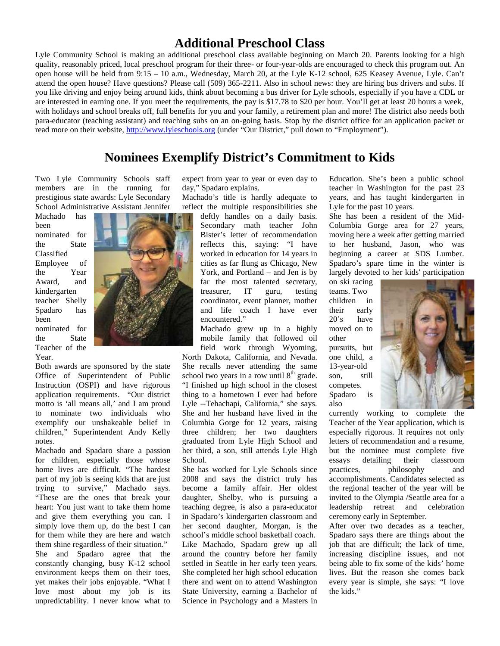### **Additional Preschool Class**

Lyle Community School is making an additional preschool class available beginning on March 20. Parents looking for a high quality, reasonably priced, local preschool program for their three- or four-year-olds are encouraged to check this program out. An open house will be held from 9:15 – 10 a.m., Wednesday, March 20, at the Lyle K-12 school, 625 Keasey Avenue, Lyle. Can't attend the open house? Have questions? Please call (509) 365-2211. Also in school news: they are hiring bus drivers and subs. If you like driving and enjoy being around kids, think about becoming a bus driver for Lyle schools, especially if you have a CDL or are interested in earning one. If you meet the requirements, the pay is \$17.78 to \$20 per hour. You'll get at least 20 hours a week, with holidays and school breaks off, full benefits for you and your family, a retirement plan and more! The district also needs both para-educator (teaching assistant) and teaching subs on an on-going basis. Stop by the district office for an application packet or read more on their website, http://www.lyleschools.org (under "Our District," pull down to "Employment").

### **Nominees Exemplify District's Commitment to Kids**

Two Lyle Community Schools staff members are in the running for prestigious state awards: Lyle Secondary School Administrative Assistant Jennifer

Machado has been nominated for the State Classified Employee of the Year Award, and kindergarten teacher Shelly Spadaro has been nominated for the State Teacher of the Year.



Both awards are sponsored by the state Office of Superintendent of Public Instruction (OSPI) and have rigorous application requirements. "Our district motto is 'all means all,' and I am proud to nominate two individuals who exemplify our unshakeable belief in children," Superintendent Andy Kelly notes.

Machado and Spadaro share a passion for children, especially those whose home lives are difficult. "The hardest part of my job is seeing kids that are just trying to survive," Machado says. "These are the ones that break your heart: You just want to take them home and give them everything you can. I simply love them up, do the best I can for them while they are here and watch them shine regardless of their situation." She and Spadaro agree that the constantly changing, busy K-12 school environment keeps them on their toes, yet makes their jobs enjoyable. "What I love most about my job is its unpredictability. I never know what to expect from year to year or even day to day," Spadaro explains.

Machado's title is hardly adequate to reflect the multiple responsibilities she

> deftly handles on a daily basis. Secondary math teacher John Bister's letter of recommendation reflects this, saying: "I have worked in education for 14 years in cities as far flung as Chicago, New York, and Portland – and Jen is by far the most talented secretary, treasurer, IT guru, testing coordinator, event planner, mother and life coach I have ever encountered."

Machado grew up in a highly mobile family that followed oil field work through Wyoming, North Dakota, California, and Nevada. She recalls never attending the same school two years in a row until  $8<sup>th</sup>$  grade. "I finished up high school in the closest thing to a hometown I ever had before Lyle --Tehachapi, California," she says. She and her husband have lived in the Columbia Gorge for 12 years, raising three children; her two daughters graduated from Lyle High School and her third, a son, still attends Lyle High School.

She has worked for Lyle Schools since practices. 2008 and says the district truly has become a family affair. Her oldest daughter, Shelby, who is pursuing a teaching degree, is also a para-educator in Spadaro's kindergarten classroom and her second daughter, Morgan, is the school's middle school basketball coach. Like Machado, Spadaro grew up all around the country before her family settled in Seattle in her early teen years. She completed her high school education there and went on to attend Washington State University, earning a Bachelor of Science in Psychology and a Masters in

Education. She's been a public school teacher in Washington for the past 23 years, and has taught kindergarten in Lyle for the past 10 years.

She has been a resident of the Mid- Columbia Gorge area for 27 years, moving here a week after getting married to her husband, Jason, who was beginning a career at SDS Lumber. Spadaro's spare time in the winter is largely devoted to her kids' participation

on ski racing teams. Two children in early 20's have moved on to other pursuits, but one child, a 13-year-old son, still competes. Spadaro is also



currently working to complete the Teacher of the Year application, which is especially rigorous. It requires not only letters of recommendation and a resume, but the nominee must complete five essays detailing their classroom philosophy and accomplishments. Candidates selected as the regional teacher of the year will be invited to the Olympia /Seattle area for a leadership retreat and celebration ceremony early in September.

After over two decades as a teacher, Spadaro says there are things about the job that are difficult; the lack of time, increasing discipline issues, and not being able to fix some of the kids' home lives. But the reason she comes back every year is simple, she says: "I love the kids."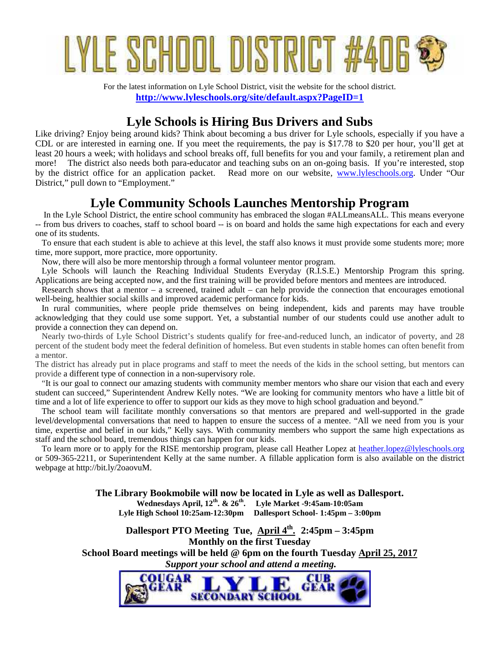# YLE SCHOOL DISTRICT #40E

For the latest information on Lyle School District, visit the website for the school district. **http://www.lyleschools.org/site/default.aspx?PageID=1**

### **Lyle Schools is Hiring Bus Drivers and Subs**

Like driving? Enjoy being around kids? Think about becoming a bus driver for Lyle schools, especially if you have a CDL or are interested in earning one. If you meet the requirements, the pay is \$17.78 to \$20 per hour, you'll get at least 20 hours a week; with holidays and school breaks off, full benefits for you and your family, a retirement plan and more! The district also needs both para-educator and teaching subs on an on-going basis. If you're interested, stop by the district office for an application packet. Read more on our website, www.lyleschools.org. Under "Our District," pull down to "Employment."

### **Lyle Community Schools Launches Mentorship Program**

 In the Lyle School District, the entire school community has embraced the slogan #ALLmeansALL. This means everyone -- from bus drivers to coaches, staff to school board -- is on board and holds the same high expectations for each and every one of its students.

 To ensure that each student is able to achieve at this level, the staff also knows it must provide some students more; more time, more support, more practice, more opportunity.

Now, there will also be more mentorship through a formal volunteer mentor program.

 Lyle Schools will launch the Reaching Individual Students Everyday (R.I.S.E.) Mentorship Program this spring. Applications are being accepted now, and the first training will be provided before mentors and mentees are introduced.

 Research shows that a mentor – a screened, trained adult – can help provide the connection that encourages emotional well-being, healthier social skills and improved academic performance for kids.

 In rural communities, where people pride themselves on being independent, kids and parents may have trouble acknowledging that they could use some support. Yet, a substantial number of our students could use another adult to provide a connection they can depend on.

 Nearly two-thirds of Lyle School District's students qualify for free-and-reduced lunch, an indicator of poverty, and 28 percent of the student body meet the federal definition of homeless. But even students in stable homes can often benefit from a mentor.

The district has already put in place programs and staff to meet the needs of the kids in the school setting, but mentors can provide a different type of connection in a non-supervisory role.

 "It is our goal to connect our amazing students with community member mentors who share our vision that each and every student can succeed," Superintendent Andrew Kelly notes. "We are looking for community mentors who have a little bit of time and a lot of life experience to offer to support our kids as they move to high school graduation and beyond."

 The school team will facilitate monthly conversations so that mentors are prepared and well-supported in the grade level/developmental conversations that need to happen to ensure the success of a mentee. "All we need from you is your time, expertise and belief in our kids," Kelly says. With community members who support the same high expectations as staff and the school board, tremendous things can happen for our kids.

 To learn more or to apply for the RISE mentorship program, please call Heather Lopez at heather.lopez@lyleschools.org or 509-365-2211, or Superintendent Kelly at the same number. A fillable application form is also available on the district webpage at http://bit.ly/2oaovuM.

> **The Library Bookmobile will now be located in Lyle as well as Dallesport. Wednesdays April, 12th. & 26th. Lyle Market -9:45am-10:05am Lyle High School 10:25am-12:30pm Dallesport School- 1:45pm – 3:00pm**

**Dallesport PTO Meeting Tue, April 4th . 2:45pm – 3:45pm Monthly on the first Tuesday School Board meetings will be held @ 6pm on the fourth Tuesday April 25, 2017**  *Support your school and attend a meeting.*

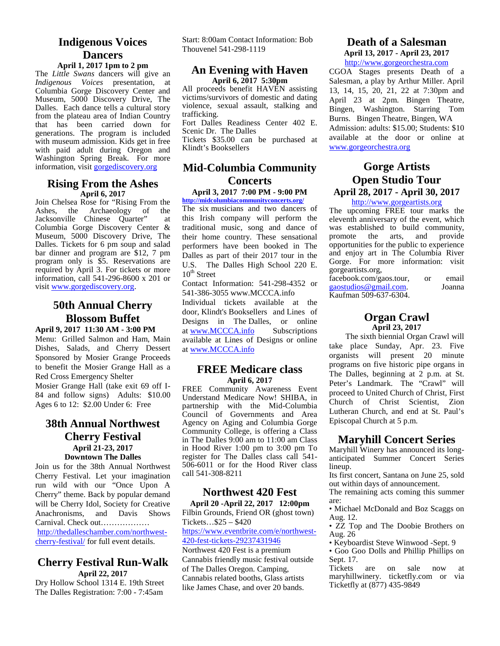### **Indigenous Voices Dancers**

### **April 1, 2017 1pm to 2 pm**

The *Little Swans* dancers will give an *Indigenous Voices* presentation, at Columbia Gorge Discovery Center and Museum, 5000 Discovery Drive, The Dalles. Each dance tells a cultural story from the plateau area of Indian Country that has been carried down for generations. The program is included with museum admission. Kids get in free with paid adult during Oregon and Washington Spring Break. For more information, visit gorgediscovery.org

### **Rising From the Ashes April 6, 2017**

Join Chelsea Rose for "Rising From the Ashes, the Archaeology of the Jacksonville Chinese Quarter" at Columbia Gorge Discovery Center & Museum, 5000 Discovery Drive, The Dalles. Tickets for 6 pm soup and salad bar dinner and program are \$12, 7 pm program only is \$5. Reservations are required by April 3. For tickets or more information, call 541-296-8600 x 201 or visit www.gorgediscovery.org.

### **50th Annual Cherry Blossom Buffet**

**April 9, 2017 11:30 AM - 3:00 PM** Menu: Grilled Salmon and Ham, Main Dishes, Salads, and Cherry Dessert Sponsored by Mosier Grange Proceeds to benefit the Mosier Grange Hall as a Red Cross Emergency Shelter Mosier Grange Hall (take exit 69 off I- 84 and follow signs) Adults: \$10.00 Ages 6 to 12: \$2.00 Under 6: Free

### **38th Annual Northwest Cherry Festival April 21-23, 2017 Downtown The Dalles**

Join us for the 38th Annual Northwest Cherry Festival. Let your imagination run wild with our "Once Upon A Cherry" theme. Back by popular demand will be Cherry Idol, Society for Creative Anachronisms, and Davis Shows Carnival. Check out……………… http://thedalleschamber.com/northwest cherry-festival/ for full event details.

### **Cherry Festival Run-Walk April 22, 2017**

Dry Hollow School 1314 E. 19th Street The Dalles Registration: 7:00 - 7:45am

Start: 8:00am Contact Information: Bob Thouvenel 541-298-1119

### **An Evening with Haven April 6, 2017 5:30pm**

All proceeds benefit HAVEN assisting victims/survivors of domestic and dating violence, sexual assault, stalking and trafficking.

Fort Dalles Readiness Center 402 E. Scenic Dr. The Dalles

Tickets \$35.00 can be purchased at Klindt's Booksellers

### **Mid-Columbia Community Concerts**

**April 3, 2017 7:00 PM - 9:00 PM http://midcolumbiacommunityconcerts.org/**

The six musicians and two dancers of this Irish company will perform the traditional music, song and dance of their home country. These sensational performers have been booked in The Dalles as part of their 2017 tour in the U.S. The Dalles High School 220 E.  $10^{th}$  Street

Contact Information: 541-298-4352 or 541-386-3055 www.MCCCA.info

Individual tickets available at the door, Klindt's Booksellers and Lines of Designs in The Dalles, or online at www.MCCCA.info Subscriptions available at Lines of Designs or online at www.MCCCA.info

### **FREE Medicare class April 6, 2017**

FREE Community Awareness Event Understand Medicare Now! SHIBA, in partnership with the Mid-Columbia Council of Governments and Area Agency on Aging and Columbia Gorge Community College, is offering a Class in The Dalles 9:00 am to 11:00 am Class in Hood River 1:00 pm to 3:00 pm To register for The Dalles class call 541- 506-6011 or for the Hood River class call 541-308-8211

### **Northwest 420 Fest**

**April 20 -April 22, 2017 12:00pm** Filbin Grounds, Friend OR (ghost town) Tickets…\$25 – \$420 https://www.eventbrite.com/e/northwest- 420-fest-tickets-29237431946

Northwest 420 Fest is a premium Cannabis friendly music festival outside of The Dalles Oregon. Camping, Cannabis related booths, Glass artists like James Chase, and over 20 bands.

### **Death of a Salesman April 13, 2017 - April 23, 2017** http://www.gorgeorchestra.com

CGOA Stages presents Death of a Salesman, a play by Arthur Miller. April 13, 14, 15, 20, 21, 22 at 7:30pm and April 23 at 2pm. Bingen Theatre, Bingen, Washington. Starring Tom Burns. Bingen Theatre, Bingen, WA Admission: adults: \$15.00; Students: \$10 available at the door or online at www.gorgeorchestra.org

### **Gorge Artists Open Studio Tour April 28, 2017 - April 30, 2017**

#### http://www.gorgeartists.org

The upcoming FREE tour marks the eleventh anniversary of the event, which was established to build community, promote the arts, and provide opportunities for the public to experience and enjoy art in The Columbia River Gorge. For more information: visit gorgeartists.org,

facebook.com/gaos.tour, or email<br>gaostudios@gmail.com. Joanna gaostudios@gmail.com. Kaufman 509-637-6304.

### **Organ Crawl April 23, 2017**

The sixth biennial Organ Crawl will take place Sunday, Apr. 23. Five organists will present 20 minute programs on five historic pipe organs in The Dalles, beginning at 2 p.m. at St. Peter's Landmark. The "Crawl" will proceed to United Church of Christ, First Church of Christ Scientist, Zion Lutheran Church, and end at St. Paul's Episcopal Church at 5 p.m.

### **Maryhill Concert Series**

Maryhill Winery has announced its long anticipated Summer Concert Series lineup.

Its first concert, Santana on June 25, sold out within days of announcement.

The remaining acts coming this summer are:

• Michael McDonald and Boz Scaggs on Aug. 12.

• ZZ Top and The Doobie Brothers on Aug. 26

• Keyboardist Steve Winwood -Sept. 9

• Goo Goo Dolls and Phillip Phillips on Sept. 17.

Tickets are on sale now at maryhillwinery. ticketfly.com or via Ticketfly at (877) 435-9849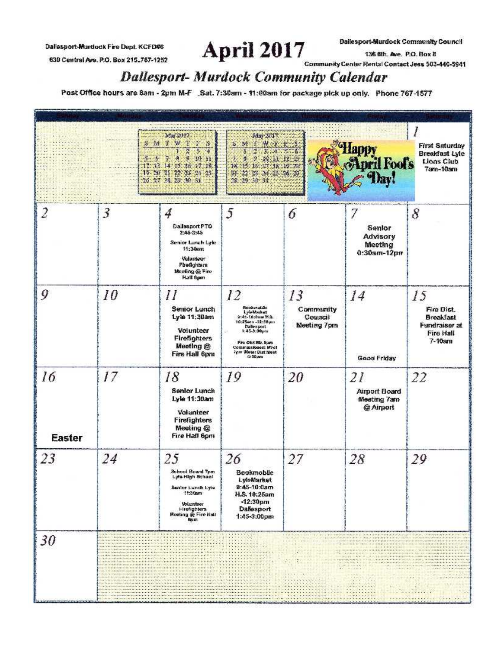Dallasport-Murdock Fire Dept. KCFD#6

630 Central Ave. P.O. Box 215\_767-1252

April 2017 136 6th. Ave. P.O. Box 8<br>Community Center Rental Contact Jess 503-440-5941 **Dallesport-Murdock Community Calendar** 

Post Office hours are 8am - 2pm M-F \_Sat. 7:30am - 11:00am for package pick up only. Phone 767-1577

|                     |                                                                                                                                                   | Mar. 2017.<br>S M F W T<br>ST.<br>×<br>ż.<br>S<br>54<br>$-9 - 10 + 11$<br>-8<br>14<br>11<br>-16<br>197118<br>19 20 21 22 24 24 25<br>26 27 28 29 30 31                                                                                                                                                                                                                                                                                                                                                                                                                                                                                                                                                                                                                                                                                                                                                                                                                                                                                                                                                                                                                                                                                                                                                                                                                                                                                                                                                                                                                                                                                                                                                                                                                                                                                                                                  | May 2017.<br>S. Mill May Bank<br><b>MAL 12 13</b><br>Þ<br>鬭<br>14.<br>115 115 127 118 117 20<br>22 23 24 23 24 27<br>24.<br>28 29 30 32                                                                                                                                                 |                                                                                                                                  | <b>Mpril Foots</b><br><b>Bay!</b>                                                                                                                                                                                                                                                                                                                                                                                                                                                                                                                                                                                                | <b>First Saturday</b><br><b>Breakfast Lyle</b><br><b>Lions Club</b><br>7am-10am |
|---------------------|---------------------------------------------------------------------------------------------------------------------------------------------------|-----------------------------------------------------------------------------------------------------------------------------------------------------------------------------------------------------------------------------------------------------------------------------------------------------------------------------------------------------------------------------------------------------------------------------------------------------------------------------------------------------------------------------------------------------------------------------------------------------------------------------------------------------------------------------------------------------------------------------------------------------------------------------------------------------------------------------------------------------------------------------------------------------------------------------------------------------------------------------------------------------------------------------------------------------------------------------------------------------------------------------------------------------------------------------------------------------------------------------------------------------------------------------------------------------------------------------------------------------------------------------------------------------------------------------------------------------------------------------------------------------------------------------------------------------------------------------------------------------------------------------------------------------------------------------------------------------------------------------------------------------------------------------------------------------------------------------------------------------------------------------------------|-----------------------------------------------------------------------------------------------------------------------------------------------------------------------------------------------------------------------------------------------------------------------------------------|----------------------------------------------------------------------------------------------------------------------------------|----------------------------------------------------------------------------------------------------------------------------------------------------------------------------------------------------------------------------------------------------------------------------------------------------------------------------------------------------------------------------------------------------------------------------------------------------------------------------------------------------------------------------------------------------------------------------------------------------------------------------------|---------------------------------------------------------------------------------|
| 2                   | 3                                                                                                                                                 | 4<br>Dallasport PTO<br>2:45-3:45<br>Senior Lunch Lyle<br>11:30am<br>Valunteor<br>Fireflighters<br>Maching @ Fire<br>Hall Spm                                                                                                                                                                                                                                                                                                                                                                                                                                                                                                                                                                                                                                                                                                                                                                                                                                                                                                                                                                                                                                                                                                                                                                                                                                                                                                                                                                                                                                                                                                                                                                                                                                                                                                                                                            | 5                                                                                                                                                                                                                                                                                       | 6                                                                                                                                | With the figure of the main structure.<br>Senior<br>Advisory<br>Meeting<br>0:30ат-12рп                                                                                                                                                                                                                                                                                                                                                                                                                                                                                                                                           | 8                                                                               |
| 9                   | 10                                                                                                                                                | П<br>Senior Lunch<br>Lyle 11:30am<br>Volunteer<br>Firefighters<br>Meeting @<br>Fire Hall 6pm                                                                                                                                                                                                                                                                                                                                                                                                                                                                                                                                                                                                                                                                                                                                                                                                                                                                                                                                                                                                                                                                                                                                                                                                                                                                                                                                                                                                                                                                                                                                                                                                                                                                                                                                                                                            | 12<br>Bookmabile<br>LyleMarket<br>9:45-10:8wan 15.3.<br>10:25eon-12:30pm<br><b>DaBesport</b><br>1:45-3:00pm<br>Fire Olst Blz. Spen<br>Commissioners Meet<br>Zeim Weber Dist Meet<br>6:00 um                                                                                             | 13<br>Community<br>Council<br><b>Meeting 7pm</b>                                                                                 | 14<br>Good Friday                                                                                                                                                                                                                                                                                                                                                                                                                                                                                                                                                                                                                | 15<br>Fire Dist.<br>Breakfast<br>Fundraiser at<br>Fire Hall<br>$7 - 10$ arn     |
| 16<br><b>Easter</b> | 17                                                                                                                                                | 18<br><b>Senior Lunch</b><br>Lyle 11:30am<br>Volunteer<br><b>Firefighters</b><br>Meeting @<br>Fire Hall 6pm                                                                                                                                                                                                                                                                                                                                                                                                                                                                                                                                                                                                                                                                                                                                                                                                                                                                                                                                                                                                                                                                                                                                                                                                                                                                                                                                                                                                                                                                                                                                                                                                                                                                                                                                                                             | 19                                                                                                                                                                                                                                                                                      | 20                                                                                                                               | 21<br><b>Airport Board</b><br>Meeting 7am<br>@ Airport                                                                                                                                                                                                                                                                                                                                                                                                                                                                                                                                                                           | 22                                                                              |
| 23                  | 24                                                                                                                                                | 25<br>School Board 7pm<br>Lyfa High School<br>Senior Lunch Lyse<br>11:30am<br>Volunteer<br><b>Hrefighters</b><br>Mooting @ Fire Hall<br><b>Gum</b>                                                                                                                                                                                                                                                                                                                                                                                                                                                                                                                                                                                                                                                                                                                                                                                                                                                                                                                                                                                                                                                                                                                                                                                                                                                                                                                                                                                                                                                                                                                                                                                                                                                                                                                                      | 26<br>Bookmoble<br><b>LyleMarket</b><br>$9:45-10:0am$<br>H.S. 10:25am<br>$-12:30pm$<br>Dallesport<br>$1:45-3:00 \text{pm}$                                                                                                                                                              | 27                                                                                                                               | 28                                                                                                                                                                                                                                                                                                                                                                                                                                                                                                                                                                                                                               | 29                                                                              |
| 30                  | the market of the contribution of the contribution of the first of the contribution of the contribution of the<br><b>Lating All Constitutions</b> | the particle and considered at a<br>distante de la composició de la composició de la composició de la composició de la composició de la composició<br>La composició de la composició de la composició de la composició de la composició de la composició de la compo<br>dia any ambany amin'ny fivondronan-kaominin'i Paris-Amerika ao amin'ny fivondronan-kaominin'i Communistant ao F<br>Ny INSEE dia mampiasa ny kaodim-paositra 600000 amin'ny tanàna mandritry ny taona 2008–2014. Ilay kaominina di<br>movement than best of the constitution of the constitution of the constitution of the advertisement of the constitution of the constitution of the constitution of the constitution of the constitution of the constitution of<br>ante en complemento de la completa de la completa de la completa de la completa de la completa de la completa<br>Non completa del provision de la completa de la completa de la completación de la completa de la completa de l<br>counters and information of the first state and in manufacture of a<br>and the contract of the contract of the contract of the contract of the contract of the contract of the contract<br>as in all a car all sides and of a case that<br>be a catch contractor of a children character and contract of a catch and contract contract and catch and contract of the contractor<br>in a the statistic in the final charge and contract the tradition form for the problem of the Contract of the<br>a considerativo de la constitución de la constitución de la constitución de la constitución de la constitución<br>interest a member of the extent and success to a distribution of the set of extending the set of the set of the set of the set of the set of the set of the set of the set of the set of the set of the set of the set of the<br>mental and a set of contractor of the contract | 1.1.1.1.1.1.1<br><b>Northern Committee Committee</b><br>AS IT Changes Scott the Sing<br>in a change of the later and complete the change of the control of the change of the control of the change of the<br>chairman and an early visit to contribute the<br><b>CONTRACTOR</b> AND COL | The presentation in the collection<br><b>Management</b><br>a la decisión de la facta de constitución<br><u> Albanya (Albanya</u> | The process of a cars as a construction of a construction of the construction of a construction<br>the contract of the animal species in the disposition of a contract of the disposition and the<br>or or increase and clear to be a control one.<br>Animal Antonio (1994)<br>XXIII.<br><b>Market Carolina and Carolina and Carolina</b><br>chancer construction of<br>144-1010-2000 Fold CHEW MARK #<br>managements of<br>and the first particular in the first particular<br>des anticipamente della con-<br>The State of the<br>and the state of the<br><b>Albert</b><br>(4000, 4000, 4000)<br>and the first property of the | $\frac{1}{2}$<br>$\sim 10$<br>HERMAN DE<br>teachers and the first of            |